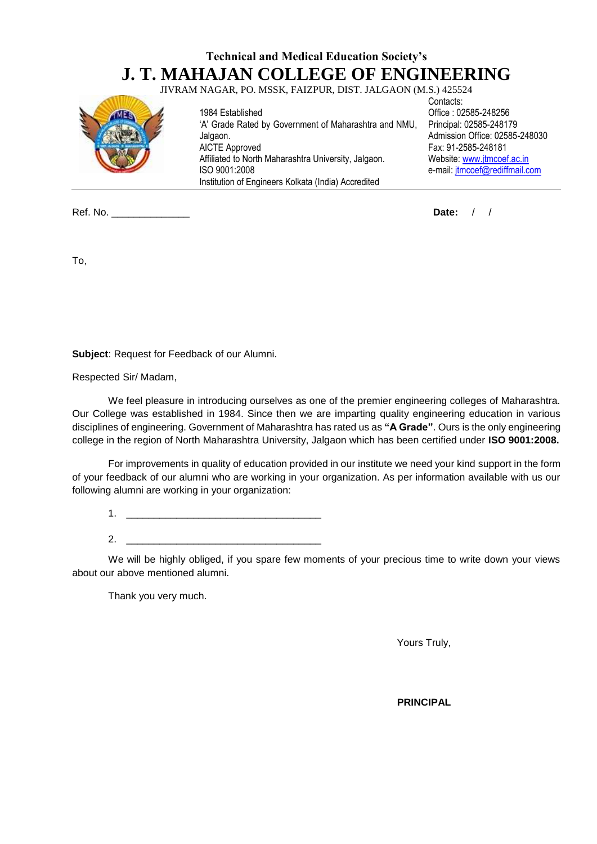## **Technical and Medical Education Society's J. T. MAHAJAN COLLEGE OF ENGINEERING**

JIVRAM NAGAR, PO. MSSK, FAIZPUR, DIST. JALGAON (M.S.) 425524



1984 Established 'A' Grade Rated by Government of Maharashtra and NMU, Jalgaon. AICTE Approved Affiliated to North Maharashtra University, Jalgaon. ISO 9001:2008 Institution of Engineers Kolkata (India) Accredited

Contacts: Office : 02585-248256 Principal: 02585-248179 Admission Office: 02585-248030 Fax: 91-2585-248181 Website[: www.jtmcoef.ac.in](http://www.jtmcoef.ac.in/) e-mail: [jtmcoef@rediffmail.com](mailto:jtmcoef@rediffmail.com)

Ref. No. \_\_\_\_\_\_\_\_\_\_\_\_\_\_ **Date:** / /

To,

**Subject**: Request for Feedback of our Alumni.

Respected Sir/ Madam,

We feel pleasure in introducing ourselves as one of the premier engineering colleges of Maharashtra. Our College was established in 1984. Since then we are imparting quality engineering education in various disciplines of engineering. Government of Maharashtra has rated us as **"A Grade"**. Ours is the only engineering college in the region of North Maharashtra University, Jalgaon which has been certified under **ISO 9001:2008.**

For improvements in quality of education provided in our institute we need your kind support in the form of your feedback of our alumni who are working in your organization. As per information available with us our following alumni are working in your organization:

 $1.$ 

 $2.$ 

We will be highly obliged, if you spare few moments of your precious time to write down your views about our above mentioned alumni.

Thank you very much.

Yours Truly,

**PRINCIPAL**